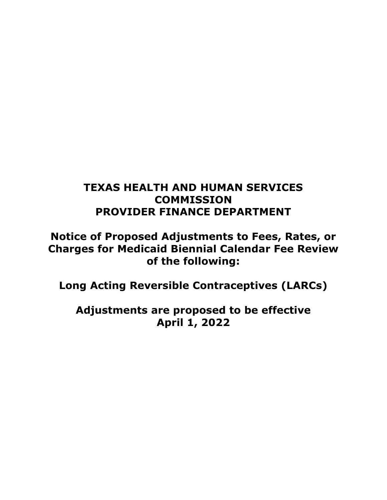# **TEXAS HEALTH AND HUMAN SERVICES COMMISSION PROVIDER FINANCE DEPARTMENT**

**Notice of Proposed Adjustments to Fees, Rates, or Charges for Medicaid Biennial Calendar Fee Review of the following:**

**Long Acting Reversible Contraceptives (LARCs)**

**Adjustments are proposed to be effective April 1, 2022**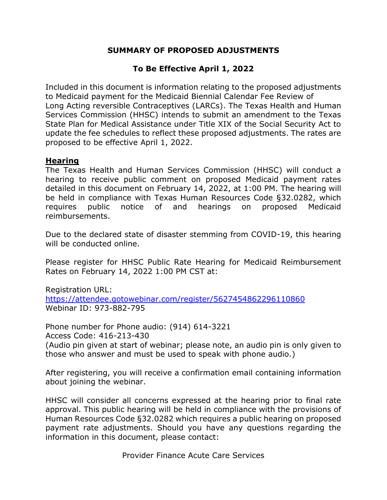### **SUMMARY OF PROPOSED ADJUSTMENTS**

## **To Be Effective April 1, 2022**

Included in this document is information relating to the proposed adjustments to Medicaid payment for the Medicaid Biennial Calendar Fee Review of Long Acting reversible Contraceptives (LARCs). The Texas Health and Human Services Commission (HHSC) intends to submit an amendment to the Texas State Plan for Medical Assistance under Title XIX of the Social Security Act to update the fee schedules to reflect these proposed adjustments. The rates are proposed to be effective April 1, 2022.

#### **Hearing**

The Texas Health and Human Services Commission (HHSC) will conduct a hearing to receive public comment on proposed Medicaid payment rates detailed in this document on February 14, 2022, at 1:00 PM. The hearing will be held in compliance with Texas Human Resources Code §32.0282, which requires public notice of and hearings on proposed Medicaid reimbursements.

Due to the declared state of disaster stemming from COVID-19, this hearing will be conducted online.

Please register for HHSC Public Rate Hearing for Medicaid Reimbursement Rates on February 14, 2022 1:00 PM CST at:

Registration URL: <https://attendee.gotowebinar.com/register/5627454862296110860> Webinar ID: 973-882-795

Phone number for Phone audio: (914) 614-3221 Access Code: 416-213-430 (Audio pin given at start of webinar; please note, an audio pin is only given to those who answer and must be used to speak with phone audio.)

After registering, you will receive a confirmation email containing information about joining the webinar.

HHSC will consider all concerns expressed at the hearing prior to final rate approval. This public hearing will be held in compliance with the provisions of Human Resources Code §32.0282 which requires a public hearing on proposed payment rate adjustments. Should you have any questions regarding the information in this document, please contact:

Provider Finance Acute Care Services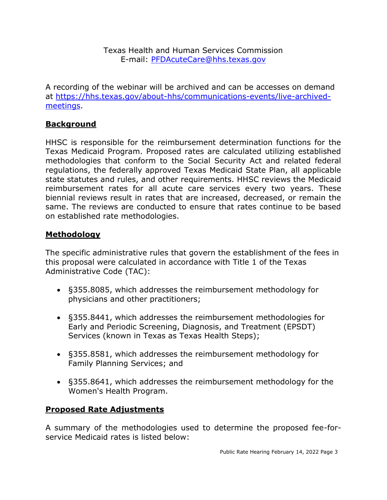Texas Health and Human Services Commission E-mail: [PFDAcuteCare@hhs.texas.gov](mailto:PFDAcuteCare@hhs.texas.gov)

A recording of the webinar will be archived and can be accesses on demand at [https://hhs.texas.gov/about-hhs/communications-events/live-archived](https://hhs.texas.gov/about-hhs/communications-events/live-archived-meetings)[meetings.](https://hhs.texas.gov/about-hhs/communications-events/live-archived-meetings)

## **Background**

HHSC is responsible for the reimbursement determination functions for the Texas Medicaid Program. Proposed rates are calculated utilizing established methodologies that conform to the Social Security Act and related federal regulations, the federally approved Texas Medicaid State Plan, all applicable state statutes and rules, and other requirements. HHSC reviews the Medicaid reimbursement rates for all acute care services every two years. These biennial reviews result in rates that are increased, decreased, or remain the same. The reviews are conducted to ensure that rates continue to be based on established rate methodologies.

### **Methodology**

The specific administrative rules that govern the establishment of the fees in this proposal were calculated in accordance with Title 1 of the Texas Administrative Code (TAC):

- §355.8085, which addresses the reimbursement methodology for physicians and other practitioners;
- §355.8441, which addresses the reimbursement methodologies for Early and Periodic Screening, Diagnosis, and Treatment (EPSDT) Services (known in Texas as Texas Health Steps);
- §355.8581, which addresses the reimbursement methodology for Family Planning Services; and
- §355.8641, which addresses the reimbursement methodology for the Women's Health Program.

#### **Proposed Rate Adjustments**

A summary of the methodologies used to determine the proposed fee-forservice Medicaid rates is listed below: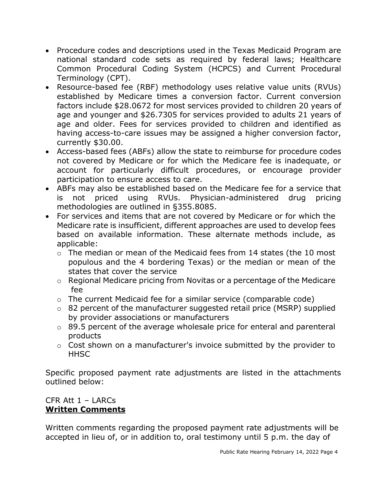- Procedure codes and descriptions used in the Texas Medicaid Program are national standard code sets as required by federal laws; Healthcare Common Procedural Coding System (HCPCS) and Current Procedural Terminology (CPT).
- Resource-based fee (RBF) methodology uses relative value units (RVUs) established by Medicare times a conversion factor. Current conversion factors include \$28.0672 for most services provided to children 20 years of age and younger and \$26.7305 for services provided to adults 21 years of age and older. Fees for services provided to children and identified as having access-to-care issues may be assigned a higher conversion factor, currently \$30.00.
- Access-based fees (ABFs) allow the state to reimburse for procedure codes not covered by Medicare or for which the Medicare fee is inadequate, or account for particularly difficult procedures, or encourage provider participation to ensure access to care.
- ABFs may also be established based on the Medicare fee for a service that is not priced using RVUs. Physician-administered drug pricing methodologies are outlined in §355.8085.
- For services and items that are not covered by Medicare or for which the Medicare rate is insufficient, different approaches are used to develop fees based on available information. These alternate methods include, as applicable:
	- o The median or mean of the Medicaid fees from 14 states (the 10 most populous and the 4 bordering Texas) or the median or mean of the states that cover the service
	- o Regional Medicare pricing from Novitas or a percentage of the Medicare fee
	- o The current Medicaid fee for a similar service (comparable code)
	- o 82 percent of the manufacturer suggested retail price (MSRP) supplied by provider associations or manufacturers
	- o 89.5 percent of the average wholesale price for enteral and parenteral products
	- o Cost shown on a manufacturer's invoice submitted by the provider to **HHSC**

Specific proposed payment rate adjustments are listed in the attachments outlined below:

### CFR Att 1 – LARCs **Written Comments**

Written comments regarding the proposed payment rate adjustments will be accepted in lieu of, or in addition to, oral testimony until 5 p.m. the day of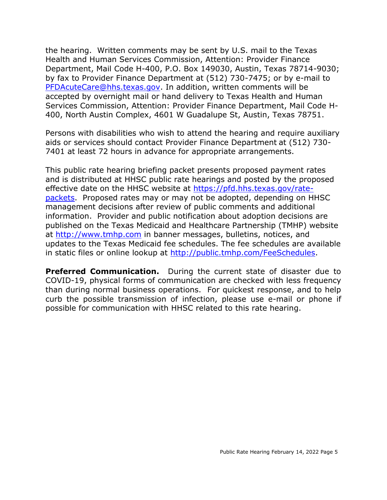the hearing. Written comments may be sent by U.S. mail to the Texas Health and Human Services Commission, Attention: Provider Finance Department, Mail Code H-400, P.O. Box 149030, Austin, Texas 78714-9030; by fax to Provider Finance Department at (512) 730-7475; or by e-mail to [PFDAcuteCare@hhs.texas.gov.](mailto:PFDAcuteCare@hhs.texas.gov) In addition, written comments will be accepted by overnight mail or hand delivery to Texas Health and Human Services Commission, Attention: Provider Finance Department, Mail Code H-400, North Austin Complex, 4601 W Guadalupe St, Austin, Texas 78751.

Persons with disabilities who wish to attend the hearing and require auxiliary aids or services should contact Provider Finance Department at (512) 730- 7401 at least 72 hours in advance for appropriate arrangements.

This public rate hearing briefing packet presents proposed payment rates and is distributed at HHSC public rate hearings and posted by the proposed effective date on the HHSC website at [https://pfd.hhs.texas.gov/rate](https://pfd.hhs.texas.gov/rate-packets)[packets.](https://pfd.hhs.texas.gov/rate-packets) Proposed rates may or may not be adopted, depending on HHSC management decisions after review of public comments and additional information. Provider and public notification about adoption decisions are published on the Texas Medicaid and Healthcare Partnership (TMHP) website at [http://www.tmhp.com](http://www.tmhp.com/) in banner messages, bulletins, notices, and updates to the Texas Medicaid fee schedules. The fee schedules are available in static files or online lookup at [http://public.tmhp.com/FeeSchedules.](http://public.tmhp.com/FeeSchedules)

**Preferred Communication.** During the current state of disaster due to COVID-19, physical forms of communication are checked with less frequency than during normal business operations. For quickest response, and to help curb the possible transmission of infection, please use e-mail or phone if possible for communication with HHSC related to this rate hearing.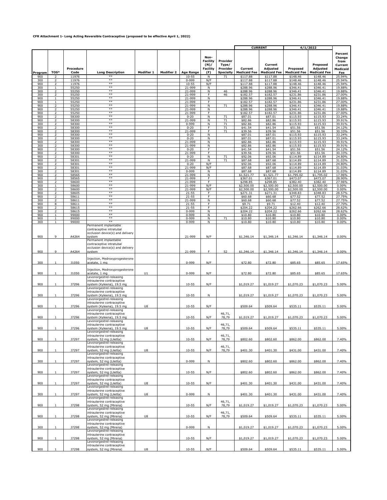#### **CFR Attachment 1- Long Acting Reversible Contraceptive (proposed to be effective April 1, 2022)**

|            |                                                      |                |                                                         |            |                   |                        |                                                    |                               | <b>CURRENT</b>           |                          | 4/1/2022                 |                          |                                                  |
|------------|------------------------------------------------------|----------------|---------------------------------------------------------|------------|-------------------|------------------------|----------------------------------------------------|-------------------------------|--------------------------|--------------------------|--------------------------|--------------------------|--------------------------------------------------|
|            |                                                      | Procedure      |                                                         |            |                   |                        | Non-<br><b>Facility</b><br>(N)/<br><b>Facility</b> | Provider<br>Type/<br>Provider | Current                  | Current<br>Adjusted      | Proposed                 | Proposed<br>Adjusted     | Percent<br>Change<br>from<br>Current<br>Medicaid |
| Program    | TOS*                                                 | Code           | <b>Long Description</b>                                 | Modifier 1 | <b>Modifier 2</b> | <b>Age Range</b>       | (F)                                                | <b>Specialty</b>              | <b>Medicaid Fee</b>      | <b>Medicaid Fee</b>      | <b>Medicaid Fee</b>      | <b>Medicaid Fee</b>      | Fee                                              |
| 900<br>300 | $\overline{z}$<br>2                                  | 11976<br>11976 | $***$<br>$^{**}$                                        |            |                   | $10 - 55$<br>$0 - 999$ | N<br>N/F                                           | 71                            | \$117.88<br>\$117.88     | \$117.88<br>\$117.88     | \$148.46<br>\$148.46     | \$148.46<br>\$148.46     | 25.94%<br>25.94%                                 |
| 900        | 2                                                    | 11976          | **                                                      |            |                   | $10 - 55$              | N/F                                                |                               | \$117.88                 | \$117.88                 | \$148.46                 | \$148.46                 | 25.94%                                           |
| 300<br>300 | 1<br>2                                               | 55250<br>55250 | $^{**}$<br>$**$                                         |            |                   | 21-999<br>21-999       | N<br>N                                             | 46                            | \$288.96<br>\$288.96     | \$288.96<br>\$288.96     | \$346.41<br>\$346.41     | \$346.41<br>\$346.41     | 19.88%<br>19.88%                                 |
| 300        |                                                      | 55250          | **                                                      |            |                   | 21-999                 | F                                                  | 46                            | \$182.57                 | \$182.57                 | \$231.86                 | \$231.86                 | 27.00%                                           |
| 900        |                                                      | 55250          | $***$<br>$**$                                           |            |                   | 21-999                 | N                                                  |                               | \$288.96                 | \$288.96                 | \$346.41                 | \$346.41                 | 19.88%                                           |
| 900<br>900 |                                                      | 55250<br>55250 | $**$                                                    |            |                   | 21-999<br>21-999       | F<br>N                                             | 71                            | \$182.57<br>\$288.96     | \$182.57<br>\$288.96     | \$231.86<br>\$346.41     | \$231.86<br>\$346.41     | 27.00%<br>19.88%                                 |
| 900        | $\overline{z}$                                       | 55250          | $^{**}$                                                 |            |                   | 21-999                 | N                                                  |                               | \$288.96                 | \$288.96                 | \$346.41                 | \$346.41                 | 19.88%                                           |
| 900<br>900 | $\overline{\phantom{a}}$                             | 55250<br>58300 | $**$<br>$**$                                            |            |                   | 21-999<br>$0 - 20$     | F<br>N                                             | 71                            | \$182.57<br>\$87.01      | \$182.57<br>\$87.01      | \$231.86<br>\$115.93     | \$231.86<br>\$115.93     | 27.00%<br>33.24%                                 |
| 900        | $\overline{\phantom{a}}$                             | 58300          | $***$                                                   |            |                   | 21-999                 | N                                                  | 71                            | \$82.86                  | \$82.86                  | \$115.93                 | \$115.93                 | 39.91%                                           |
| 300<br>900 | 2<br>$\mathcal{L}$                                   | 58300<br>58300 | $***$<br>$**$                                           |            |                   | $0 - 999$<br>$0 - 20$  | N<br>F                                             | 71<br>71                      | \$82.86                  | \$82.86                  | \$115.93                 | \$115.93                 | 39.91%<br>24.12%                                 |
| 900        | 2                                                    | 58300          | $**$                                                    |            |                   | 21-999                 | F                                                  | 71                            | \$41.54<br>\$39.56       | \$41.54<br>\$39.56       | \$51.56<br>\$51.56       | \$51.56<br>\$51.56       | 30.33%                                           |
| 900        | 2                                                    | 58300          | **<br>$**$                                              |            |                   | $0 - 20$               | N                                                  |                               | \$87.01                  | \$87.01                  | \$115.93                 | \$115.93                 | 33.24%                                           |
| 300<br>900 |                                                      | 58300<br>58300 | $***$                                                   |            |                   | $0 - 20$<br>21-999     | N<br>Ν                                             |                               | \$87.01<br>\$82.86       | \$87.01<br>\$82.86       | \$115.93<br>\$115.93     | \$115.93<br>\$115.93     | 33.24%<br>39.91%                                 |
| 300        |                                                      | 58300          | **<br>$**$                                              |            |                   | 21-999                 | N                                                  |                               | \$82.86                  | \$82.86                  | \$115.93                 | \$115.93                 | 39.91%                                           |
| 900<br>900 | $\overline{z}$                                       | 58300<br>58300 | $**$                                                    |            |                   | $0 - 20$<br>21-999     | F<br>Ŧ                                             |                               | \$41.54<br>\$39.56       | \$41.54<br>\$39.56       | \$51.56<br>\$51.56       | \$51.56<br>\$51.56       | 24.12%<br>30.33%                                 |
| 900        | $\overline{z}$                                       | 58301          | $**$                                                    |            |                   | $0 - 20$               | N                                                  | 71                            | \$92.06                  | \$92.06                  | \$114.89                 | \$114.89                 | 24.80%                                           |
| 900<br>900 | $\overline{\phantom{a}}$<br>$\overline{\phantom{a}}$ | 58301<br>58301 | $***$<br>**                                             |            |                   | 21-999<br>$0 - 20$     | N<br>N/F                                           | 71                            | \$87.68<br>\$92.06       | \$87.68<br>\$92.06       | \$114.89<br>\$114.89     | \$114.89<br>\$114.89     | 31.03%<br>24.80%                                 |
| 900        | $\overline{ }$                                       | 58301          | $***$                                                   |            |                   | 21-999                 | N/F                                                |                               | \$87.68                  | \$87.68                  | \$114.89                 | \$114.89                 | 31.03%                                           |
| 300        | 2                                                    | 58301          | $***$<br>$**$                                           |            |                   | 0-999                  | N                                                  |                               | \$87.68                  | \$87.68                  | \$114.89                 | \$114.89                 | 31.03%                                           |
| 900<br>900 | 2<br>2                                               | 58565<br>58565 | $**$                                                    |            |                   | 21-999<br>21-999       | N<br>F                                             |                               | \$1,521.77<br>\$367.01   | \$1,521.77<br>\$367.01   | \$1,795.02<br>\$473.07   | \$1,795.02<br>\$473.07   | 17.96%<br>28.90%                                 |
| 900        | 2                                                    | 58600          | $**$                                                    |            |                   | 21-999                 | F                                                  |                               | \$298.85                 | \$298.85                 | \$382.40                 | \$382.40                 | 27.96%                                           |
| 300<br>300 |                                                      | 58600<br>58600 | $***$<br>$**$                                           |            |                   | 21-999<br>21-999       | N/F<br>N/F                                         |                               | \$2,500.00<br>\$2,500.00 | \$2,500.00<br>\$2,500.00 | \$2,500.00<br>\$2,500.00 | \$2,500.00<br>\$2,500.00 | 0.00%<br>0.00%                                   |
| 900        |                                                      | 58605          | $**$                                                    |            |                   | $21 - 55$              | F                                                  |                               | \$271.31                 | \$271.31                 | \$348.83                 | \$348.83                 | 28.57%                                           |
| 900        | $\overline{2}$                                       | 58611<br>58611 | $**$<br>$**$                                            |            |                   | $21 - 55$<br>21-999    | Ŧ<br>N                                             |                               | \$60.68<br>\$60.68       | \$60.68<br>\$60.68       | \$77.52<br>\$77.52       | \$77.52<br>\$77.52       | 27.75%<br>27.75%                                 |
| 300<br>900 | 8                                                    | 58611          | $**$                                                    |            |                   | $21 - 55$              | Ŧ                                                  |                               | \$9.71                   | \$9.71                   | \$12.40                  | \$12.40                  | 27.70%                                           |
| 900        |                                                      | 58615          | $**$<br>$***$                                           |            |                   | $21 - 55$              | F                                                  |                               | \$204.22                 | \$204.22                 | \$262.66                 | \$262.66                 | 28.62%                                           |
| 300<br>900 | $\overline{\phantom{a}}$<br>1                        | 58615<br>99000 | $**$                                                    |            |                   | 0-999<br>$0 - 999$     | N<br>N                                             |                               | \$204.22<br>\$10.80      | \$204.22<br>\$10.80      | \$262.66<br>\$10.80      | \$262.66<br>\$10.80      | 28.62%<br>$0.00\%$                               |
| 900        |                                                      | 99000          | $**$                                                    |            |                   | $0 - 999$              | N                                                  | 71                            | \$10.80                  | \$10.80                  | \$10.80                  | \$10.80                  | 0.00%                                            |
| 300        | 1                                                    | 99000          | $^{**}$<br>Permanent implantable                        |            |                   | 0-999                  | N                                                  |                               | \$10.80                  | \$10.80                  | \$10.80                  | \$10.80                  | $0.00\%$                                         |
|            |                                                      |                | contraceptive intratubal                                |            |                   |                        |                                                    |                               |                          |                          |                          |                          |                                                  |
| 900        | 9                                                    | A4264          | occlusion device(s) and delivery                        |            |                   | 21-999                 | N/F                                                |                               |                          |                          |                          |                          | 0.00%                                            |
|            |                                                      |                | system<br>Permanent implantable                         |            |                   |                        |                                                    |                               | \$1,346.14               | \$1,346.14               | \$1,346.14               | \$1,346.14               |                                                  |
|            |                                                      |                | contraceptive intratubal                                |            |                   |                        |                                                    |                               |                          |                          |                          |                          |                                                  |
| 900        | 9                                                    | A4264          | occlusion device(s) and delivery<br>svstem              |            |                   | 21-999                 | F                                                  | 52                            | \$1,346.14               | \$1,346.14               | \$1,346.14               | \$1,346.14               | 0.00%                                            |
|            |                                                      |                |                                                         |            |                   |                        |                                                    |                               |                          |                          |                          |                          |                                                  |
|            |                                                      | <b>J1050</b>   | Injection, Medroxyprogesterone                          |            |                   | $0 - 999$              |                                                    |                               | \$72.80                  | \$72.80                  | \$85.65                  |                          |                                                  |
| 300        | 1                                                    |                | acetate, 1 mg                                           |            |                   |                        | N/F                                                |                               |                          |                          |                          | \$85.65                  | 17.65%                                           |
|            |                                                      |                | Injection, Medroxyprogesterone                          |            |                   |                        |                                                    |                               |                          |                          |                          |                          |                                                  |
| 900        | 1                                                    | J1050          | acetate, 1 mg<br>Levonorgestrel-releasing               | U1         |                   | 0-999                  | N/F                                                |                               | \$72.80                  | \$72.80                  | \$85.65                  | \$85.65                  | 17.65%                                           |
|            |                                                      |                | intrauterine contraceptive                              |            |                   |                        |                                                    |                               |                          |                          |                          |                          |                                                  |
| 900        |                                                      | <b>J7296</b>   | system (Kyleena), 19.5 mg<br>Levonorgestrel-releasing   |            |                   | $10 - 55$              | N/F                                                |                               | \$1,019.27               | \$1,019.27               | \$1,070.23               | \$1,070.23               | 5.00%                                            |
|            |                                                      |                | intrauterine contraceptive                              |            |                   |                        |                                                    |                               |                          |                          |                          |                          |                                                  |
| 300        | $\mathbf{1}$                                         | J7296          | system (Kyleena), 19.5 mg                               |            |                   | $10 - 55$              | N                                                  |                               | \$1,019.27               | \$1,019.27               | \$1,070.23               | \$1,070.23               | 5.00%                                            |
|            |                                                      |                | Levonorgestrel-releasing<br>intrauterine contraceptive  |            |                   |                        |                                                    |                               |                          |                          |                          |                          |                                                  |
| 900        | 1                                                    | <b>J7296</b>   | system (Kyleena), 19.5 mg                               | U8         |                   | $10 - 55$              | N/F                                                |                               | \$509.64                 | \$509.64                 | \$535.11                 | \$535.11                 | 5.00%                                            |
|            |                                                      |                | Levonorgestrel-releasing<br>intrauterine contraceptive  |            |                   |                        |                                                    | 46,71,                        |                          |                          |                          |                          |                                                  |
| 900        |                                                      | <b>J7296</b>   | system (Kyleena), 19.5 mg                               |            |                   | $10 - 55$              | N/F                                                | 78.79                         | \$1,019.27               | \$1.019.27               | \$1,070.23               | \$1,070.23               | 5.00%                                            |
|            |                                                      |                | Levonorgestrel-releasing                                |            |                   |                        |                                                    |                               |                          |                          |                          |                          |                                                  |
| 900        |                                                      | J7296          | intrauterine contraceptive<br>system (Kyleena), 19.5 mg | U8         |                   | 10-55                  | N/F                                                | 46,71,<br>78.79               | \$509.64                 | \$509.64                 | \$535.11                 | \$535.11                 | 5.00%                                            |
|            |                                                      |                | Levonorgestrel-releasing                                |            |                   |                        |                                                    |                               |                          |                          |                          |                          |                                                  |
| 900        | 1                                                    | <b>J7297</b>   | intrauterine contraceptive<br>system, 52 mg (Liletta)   |            |                   | $10 - 55$              | N/F                                                | 46,71,<br>78,79               | \$802.60                 | \$802.60                 | \$862.00                 | \$862.00                 | 7.40%                                            |
|            |                                                      |                | Levonorgestrel-releasing                                |            |                   |                        |                                                    |                               |                          |                          |                          |                          |                                                  |
| 900        | $\mathbf{1}$                                         | <b>J7297</b>   | intrauterine contraceptive<br>system, 52 mg (Liletta)   | U8         |                   | $10 - 55$              | N/F                                                | 46,71,<br>78,79               | \$401.30                 | \$401.30                 | \$431.00                 | \$431.00                 | 7.40%                                            |
|            |                                                      |                | Levonorgestrel-releasing                                |            |                   |                        |                                                    |                               |                          |                          |                          |                          |                                                  |
|            |                                                      | J7297          | intrauterine contraceptive<br>system, 52 mg (Liletta)   |            |                   | $0 - 999$              |                                                    |                               | \$802.60                 | \$802.60                 | \$862.00                 |                          |                                                  |
| 300        | $\mathbf{1}$                                         |                | Levonorgestrel-releasing                                |            |                   |                        | ${\sf N}$                                          |                               |                          |                          |                          | \$862.00                 | 7.40%                                            |
|            |                                                      |                | intrauterine contraceptive                              |            |                   |                        |                                                    |                               |                          |                          |                          |                          |                                                  |
| 900        |                                                      | <b>J7297</b>   | system, 52 mg (Liletta)<br>Levonorgestrel-releasing     |            |                   | $10 - 55$              | N/F                                                |                               | \$802.60                 | \$802.60                 | \$862.00                 | \$862.00                 | 7.40%                                            |
|            |                                                      |                | intrauterine contraceptive                              |            |                   |                        |                                                    |                               |                          |                          |                          |                          |                                                  |
| 900        | $\mathbf{1}$                                         | J7297          | system, 52 mg (Liletta)<br>Levonorgestrel-releasing     | $\cup$ 8   |                   | $10 - 55$              | N/F                                                |                               | \$401.30                 | \$401.30                 | \$431.00                 | \$431.00                 | 7.40%                                            |
|            |                                                      |                | intrauterine contraceptive                              |            |                   |                        |                                                    |                               |                          |                          |                          |                          |                                                  |
| 300        |                                                      | J7297          | system, 52 mg (Liletta)                                 | $\cup$ 8   |                   | $0 - 999$              | N                                                  |                               | \$401.30                 | \$401.30                 | \$431.00                 | \$431.00                 | 7.40%                                            |
|            |                                                      |                | Levonorgestrel-releasing<br>intrauterine contraceptive  |            |                   |                        |                                                    | 46,71,                        |                          |                          |                          |                          |                                                  |
| 900        | $\mathbf{1}$                                         | <b>J7298</b>   | system, 52 mg (Mirena)                                  |            |                   | $10 - 55$              | N/F                                                | 78,79                         | \$1,019.27               | \$1,019.27               | \$1,070.23               | \$1,070.23               | 5.00%                                            |
|            |                                                      |                | Levonorgestrel-releasing<br>intrauterine contraceptive  |            |                   |                        |                                                    | 46,71,                        |                          |                          |                          |                          |                                                  |
| 900        | $\mathbf{1}$                                         | <b>J7298</b>   | system, 52 mg (Mirena)                                  | $\cup$ 8   |                   | $10 - 55$              | N/F                                                | 78,79                         | \$509.64                 | \$509.64                 | \$535.11                 | \$535.11                 | 5.00%                                            |
|            |                                                      |                | Levonorgestrel-releasing                                |            |                   |                        |                                                    |                               |                          |                          |                          |                          |                                                  |
| 300        |                                                      | <b>J7298</b>   | intrauterine contraceptive<br>system, 52 mg (Mirena)    |            |                   | $0 - 999$              | N                                                  |                               | \$1,019.27               | \$1,019.27               | \$1,070.23               | \$1,070.23               | 5.00%                                            |
|            |                                                      |                | Levonorgestrel-releasing                                |            |                   |                        |                                                    |                               |                          |                          |                          |                          |                                                  |
| 900        | 1                                                    | <b>J7298</b>   | intrauterine contraceptive<br>system, 52 mg (Mirena)    |            |                   | 10-55                  | N/F                                                |                               | \$1,019.27               | \$1,019.27               | \$1,070.23               | \$1,070.23               | 5.00%                                            |
|            |                                                      |                | Levonorgestrel-releasing                                |            |                   |                        |                                                    |                               |                          |                          |                          |                          |                                                  |
|            |                                                      |                | intrauterine contraceptive                              |            |                   |                        |                                                    |                               |                          |                          |                          |                          |                                                  |
| 900        |                                                      | <b>J7298</b>   | system, 52 mg (Mirena)                                  | $\cup$ 8   |                   | $10 - 55$              | N/F                                                |                               | \$509.64                 | \$509.64                 | \$535.11                 | \$535.11                 | 5.00%                                            |